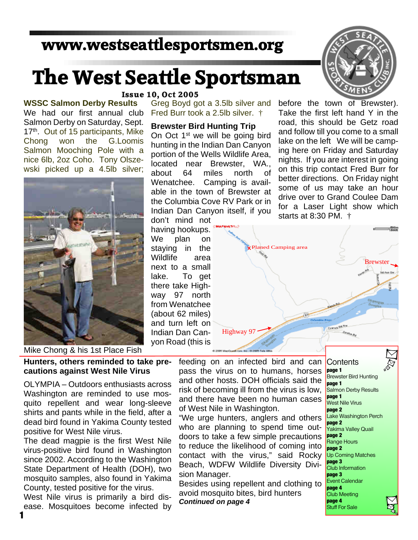## **www.westseattlesportsmen.org**

# **The West Seattle Sportsman**

#### **WSSC Salmon Derby Results** We had our first annual club Salmon Derby on Saturday, Sept. 17<sup>th</sup>. Out of 15 participants, Mike Chong won the G.Loomis Salmon Mooching Pole with a nice 6lb, 2oz Coho. Tony Olszewski picked up a 4.5lb silver;



**Issue 10, Oct 2005**

Greg Boyd got a 3.5lb silver and Fred Burr took a 2.5lb silver. †

#### **Brewster Bird Hunting Trip**

On Oct 1<sup>st</sup> we will be going bird hunting in the Indian Dan Canyon portion of the Wells Wildlife Area, located near Brewster, WA., about 64 miles north of Wenatchee. Camping is available in the town of Brewster at the Columbia Cove RV Park or in Indian Dan Canyon itself, if you

don't mind not having hookups. We plan on staying in the Wildlife area next to a small lake. To get there take Highway 97 north from Wenatchee (about 62 miles) and turn left on Indian Dan Canyon Road (this is



before the town of Brewster). Take the first left hand Y in the road, this should be Getz road and follow till you come to a small lake on the left We will be camping here on Friday and Saturday nights. If you are interest in going on this trip contact Fred Burr for better directions. On Friday night some of us may take an hour drive over to Grand Coulee Dam for a Laser Light show which starts at 8:30 PM. †



Mike Chong & his 1st Place Fish

**Hunters, others reminded to take precautions against West Nile Virus**

OLYMPIA – Outdoors enthusiasts across Washington are reminded to use mosquito repellent and wear long-sleeve shirts and pants while in the field, after a dead bird found in Yakima County tested positive for West Nile virus.

The dead magpie is the first West Nile virus-positive bird found in Washington since 2002. According to the Washington State Department of Health (DOH), two mosquito samples, also found in Yakima County, tested positive for the virus.

West Nile virus is primarily a bird disease. Mosquitoes become infected by feeding on an infected bird and can pass the virus on to humans, horses and other hosts. DOH officials said the risk of becoming ill from the virus is low, and there have been no human cases of West Nile in Washington.

"We urge hunters, anglers and others who are planning to spend time outdoors to take a few simple precautions to reduce the likelihood of coming into contact with the virus," said Rocky Beach, WDFW Wildlife Diversity Division Manager.

Besides using repellent and clothing to avoid mosquito bites, bird hunters *Continued on page 4*

**Contents page 1** Brewster Bird Hunting **page 1** Salmon Derby Results **page 1** West Nile Virus **page 2** Lake Washington Perch **page 2** Yakima Valley Quail **page 2** Range Hours **page 2** Up Coming Matches **page 3** Club Information **page 3** Event Calendar **page 4** Club Meeting **page 4** Stuff For Sale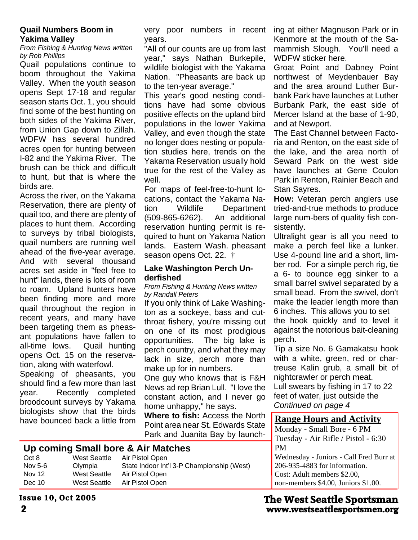#### **Quail Numbers Boom in Yakima Valley**

*From Fishing & Hunting News written by Rob Phillips*

Quail populations continue to boom throughout the Yakima Valley. When the youth season opens Sept 17-18 and regular season starts Oct. 1, you should find some of the best hunting on both sides of the Yakima River, from Union Gap down to Zillah. WDFW has several hundred acres open for hunting between I-82 and the Yakima River. The brush can be thick and difficult to hunt, but that is where the birds are.

Across the river, on the Yakama Reservation, there are plenty of quail too, and there are plenty of places to hunt them. According to surveys by tribal biologists, quail numbers are running well ahead of the five-year average. And with several thousand acres set aside in "feel free to hunt" lands, there is lots of room to roam. Upland hunters have been finding more and more quail throughout the region in recent years, and many have been targeting them as pheasant populations have fallen to all-time lows. Quail hunting opens Oct. 15 on the reservation, along with waterfowl.

Speaking of pheasants, you should find a few more than last year. Recently completed broodcount surveys by Yakama biologists show that the birds

very poor numbers in recent years.

"All of our counts are up from last year," says Nathan Burkepile, wildlife biologist with the Yakama Nation. "Pheasants are back up to the ten-year average."

This year's good nesting conditions have had some obvious positive effects on the upland bird populations in the lower Yakima Valley, and even though the state no longer does nesting or population studies here, trends on the Yakama Reservation usually hold true for the rest of the Valley as well.

For maps of feel-free-to-hunt locations, contact the Yakama Nation Wildlife Department (509-865-6262). An additional reservation hunting permit is required to hunt on Yakama Nation lands. Eastern Wash. pheasant season opens Oct. 22. †

#### **Lake Washington Perch Underfished**

*From Fishing & Hunting News written by Randall Peters*

If you only think of Lake Washington as a sockeye, bass and cutthroat fishery, you're missing out on one of its most prodigious opportunities. The big lake is perch country, and what they may lack in size, perch more than make up for in numbers.

One guy who knows that is F&H News ad rep Brian Lull. "I love the constant action, and I never go home unhappy," he says.

**Where to fish:** Access the North Point area near St. Edwards State Park and Juanita Bay by launchhave bounced back a little from **Range Hours and Activity** 

#### **Up coming Small bore & Air Matches**

| West Seattle | Air Pistol Open                            |
|--------------|--------------------------------------------|
| Olympia      | State Indoor Int'l 3-P Championship (West) |
| West Seattle | Air Pistol Open                            |
| West Seattle | Air Pistol Open                            |
|              |                                            |

ing at either Magnuson Park or in Kenmore at the mouth of the Samammish Slough. You'll need a WDFW sticker here.

Groat Point and Dabney Point northwest of Meydenbauer Bay and the area around Luther Burbank Park have launches at Luther Burbank Park, the east side of Mercer Island at the base of 1-90, and at Newport.

The East Channel between Factoria and Renton, on the east side of the lake, and the area north of Seward Park on the west side have launches at Gene Coulon Park in Renton, Rainier Beach and Stan Sayres.

**How:** Veteran perch anglers use tried-and-true methods to produce large num-bers of quality fish consistently.

Ultralight gear is all you need to make a perch feel like a lunker. Use 4-pound line arid a short, limber rod. For a simple perch rig, tie a 6- to bounce egg sinker to a small barrel swivel separated by a small bead. From the swivel, don't make the leader length more than 6 inches. This allows you to set the hook quickly and to level it against the notorious bait-cleaning perch.

Tip a size No. 6 Gamakatsu hook with a white, green, red or chartreuse Kalin grub, a small bit of nightcrawler or perch meat.

Lull swears by fishing in 17 to 22 feet of water, just outside the *Continued on page 4*

Monday - Small Bore - 6 PM Tuesday - Air Rifle / Pistol - 6:30 PM Wednesday - Juniors - Call Fred Burr at 206-935-4883 for information. Cost: Adult members \$2.00, non-members \$4.00, Juniors \$1.00.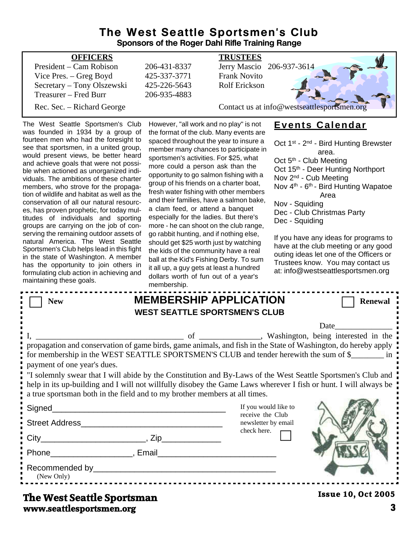#### **The West Seattle Sportsmen's Club Sponsors of the Roger Dahl Rifle Training Range**

| <b>OFFICERS</b>            |              | <b>TRUSTEES</b>                             |
|----------------------------|--------------|---------------------------------------------|
| President – Cam Robison    | 206-431-8337 | Jerry Mascio 206-937-3614                   |
| Vice Pres. $-$ Greg Boyd   | 425-337-3771 | <b>Frank Novito</b>                         |
| Secretary - Tony Olszewski | 425-226-5643 | <b>Rolf Erickson</b>                        |
| Treasurer – Fred Burr      | 206-935-4883 |                                             |
| Rec. Sec. – Richard George |              | Contact us at info@westseattlesportsmen.org |
|                            |              |                                             |

The West Seattle Sportsmen's Club was founded in 1934 by a group of fourteen men who had the foresight to see that sportsmen, in a united group, would present views, be better heard and achieve goals that were not possible when actioned as unorganized individuals. The ambitions of these charter members, who strove for the propagation of wildlife and habitat as well as the conservation of all our natural resources, has proven prophetic, for today multitudes of individuals and sporting groups are carrying on the job of conserving the remaining outdoor assets of natural America. The West Seattle Sportsmen's Club helps lead in this fight in the state of Washington. A member has the opportunity to join others in formulating club action in achieving and maintaining these goals.

However, "all work and no play" is not the format of the club. Many events are spaced throughout the year to insure a member many chances to participate in sportsmen's activities. For \$25, what more could a person ask than the opportunity to go salmon fishing with a group of his friends on a charter boat, fresh water fishing with other members and their families, have a salmon bake, a clam feed, or attend a banquet especially for the ladies. But there's more - he can shoot on the club range, go rabbit hunting, and if nothing else, should get \$25 worth just by watching the kids of the community have a real ball at the Kid's Fishing Derby. To sum it all up, a guy gets at least a hundred dollars worth of fun out of a year's membership

### **Events Calendar**

Oct 1<sup>st</sup> - 2<sup>nd</sup> - Bird Hunting Brewster area. Oct 5<sup>th</sup> - Club Meeting Oct 15<sup>th</sup> - Deer Hunting Northport Nov 2nd - Cub Meeting Nov 4<sup>th</sup> - 6<sup>th</sup> - Bird Hunting Wapatoe Area Nov - Squiding Dec - Club Christmas Party Dec - Squiding If you have any ideas for programs to

have at the club meeting or any good outing ideas let one of the Officers or Trustees know. You may contact us at: info@westseattlesportsmen.org

|                                                                                                                                                                                                                                                                                                                                                                                                                                                                                                                                                          | <u>IIIEIIIDEISIIID.</u> |                                                                       |                           |  |  |
|----------------------------------------------------------------------------------------------------------------------------------------------------------------------------------------------------------------------------------------------------------------------------------------------------------------------------------------------------------------------------------------------------------------------------------------------------------------------------------------------------------------------------------------------------------|-------------------------|-----------------------------------------------------------------------|---------------------------|--|--|
| <b>New</b>                                                                                                                                                                                                                                                                                                                                                                                                                                                                                                                                               |                         | <b>MEMBERSHIP APPLICATION</b><br><b>WEST SEATTLE SPORTSMEN'S CLUB</b> | <b>Renewal</b>            |  |  |
|                                                                                                                                                                                                                                                                                                                                                                                                                                                                                                                                                          |                         |                                                                       | <b>Date</b>               |  |  |
| propagation and conservation of game birds, game animals, and fish in the State of Washington, do hereby apply<br>for membership in the WEST SEATTLE SPORTSMEN'S CLUB and tender herewith the sum of \$<br>payment of one year's dues.<br>If solemnly swear that I will abide by the Constitution and By-Laws of the West Seattle Sportsmen's Club and<br>help in its up-building and I will not willfully disobey the Game Laws wherever I fish or hunt. I will always be<br>a true sportsman both in the field and to my brother members at all times. |                         |                                                                       |                           |  |  |
|                                                                                                                                                                                                                                                                                                                                                                                                                                                                                                                                                          |                         | If you would like to<br>receive the Club                              |                           |  |  |
|                                                                                                                                                                                                                                                                                                                                                                                                                                                                                                                                                          |                         | newsletter by email<br>check here.                                    |                           |  |  |
|                                                                                                                                                                                                                                                                                                                                                                                                                                                                                                                                                          |                         |                                                                       |                           |  |  |
| Phone Reserves and Phone Reserves and Phone Reserves and Phone Reserves and Phone Reserves and Phone Reserves                                                                                                                                                                                                                                                                                                                                                                                                                                            |                         |                                                                       |                           |  |  |
| (New Only)                                                                                                                                                                                                                                                                                                                                                                                                                                                                                                                                               |                         |                                                                       |                           |  |  |
| The West Seattle Sportsman                                                                                                                                                                                                                                                                                                                                                                                                                                                                                                                               |                         |                                                                       | <b>Issue 10, Oct 2005</b> |  |  |

#### **www.seattlesportsmen.org 3 The West Seattle Sportsman**